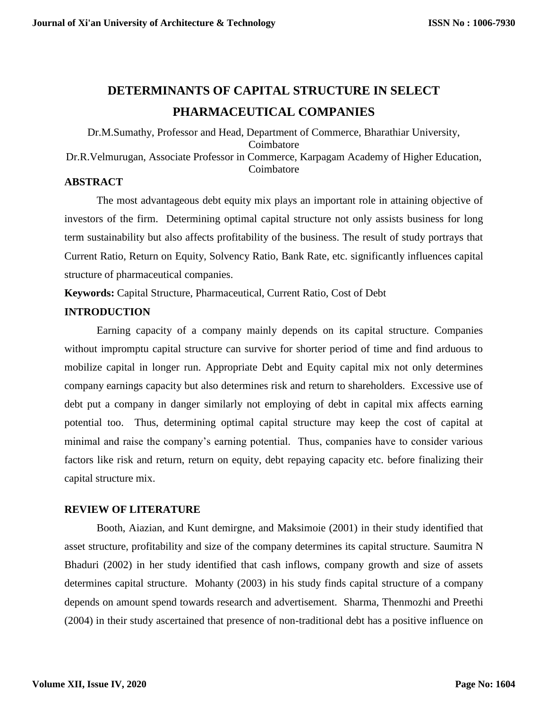# **DETERMINANTS OF CAPITAL STRUCTURE IN SELECT PHARMACEUTICAL COMPANIES**

Dr.M.Sumathy, Professor and Head, Department of Commerce, Bharathiar University, Coimbatore Dr.R.Velmurugan, Associate Professor in Commerce, Karpagam Academy of Higher Education, Coimbatore

## **ABSTRACT**

The most advantageous debt equity mix plays an important role in attaining objective of investors of the firm. Determining optimal capital structure not only assists business for long term sustainability but also affects profitability of the business. The result of study portrays that Current Ratio, Return on Equity, Solvency Ratio, Bank Rate, etc. significantly influences capital structure of pharmaceutical companies.

**Keywords:** Capital Structure, Pharmaceutical, Current Ratio, Cost of Debt

# **INTRODUCTION**

Earning capacity of a company mainly depends on its capital structure. Companies without impromptu capital structure can survive for shorter period of time and find arduous to mobilize capital in longer run. Appropriate Debt and Equity capital mix not only determines company earnings capacity but also determines risk and return to shareholders. Excessive use of debt put a company in danger similarly not employing of debt in capital mix affects earning potential too. Thus, determining optimal capital structure may keep the cost of capital at minimal and raise the company's earning potential. Thus, companies have to consider various factors like risk and return, return on equity, debt repaying capacity etc. before finalizing their capital structure mix.

# **REVIEW OF LITERATURE**

Booth, Aiazian, and Kunt demirgne, and Maksimoie (2001) in their study identified that asset structure, profitability and size of the company determines its capital structure. Saumitra N Bhaduri (2002) in her study identified that cash inflows, company growth and size of assets determines capital structure. Mohanty (2003) in his study finds capital structure of a company depends on amount spend towards research and advertisement. Sharma, Thenmozhi and Preethi (2004) in their study ascertained that presence of non-traditional debt has a positive influence on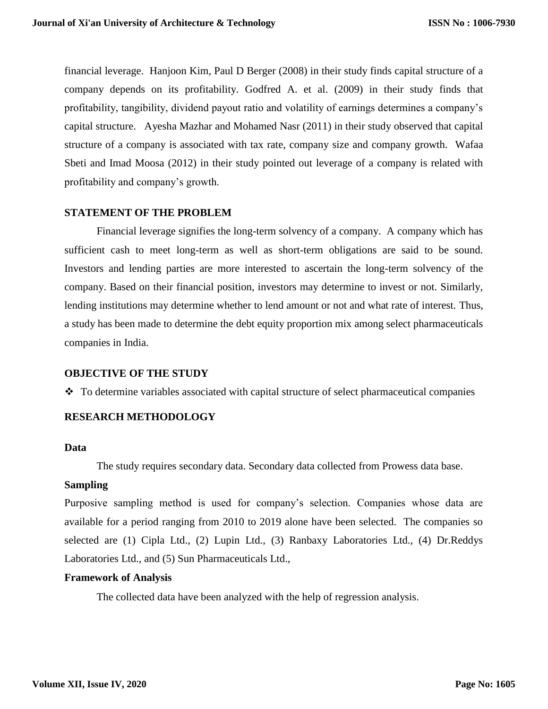financial leverage. Hanjoon Kim, Paul D Berger (2008) in their study finds capital structure of a company depends on its profitability. Godfred A. et al. (2009) in their study finds that profitability, tangibility, dividend payout ratio and volatility of earnings determines a company's capital structure. Ayesha Mazhar and Mohamed Nasr (2011) in their study observed that capital structure of a company is associated with tax rate, company size and company growth. Wafaa Sbeti and Imad Moosa (2012) in their study pointed out leverage of a company is related with profitability and company's growth.

## **STATEMENT OF THE PROBLEM**

Financial leverage signifies the long-term solvency of a company. A company which has sufficient cash to meet long-term as well as short-term obligations are said to be sound. Investors and lending parties are more interested to ascertain the long-term solvency of the company. Based on their financial position, investors may determine to invest or not. Similarly, lending institutions may determine whether to lend amount or not and what rate of interest. Thus, a study has been made to determine the debt equity proportion mix among select pharmaceuticals companies in India.

#### **OBJECTIVE OF THE STUDY**

 $\div$  To determine variables associated with capital structure of select pharmaceutical companies

# **RESEARCH METHODOLOGY**

## **Data**

The study requires secondary data. Secondary data collected from Prowess data base.

#### **Sampling**

Purposive sampling method is used for company's selection. Companies whose data are available for a period ranging from 2010 to 2019 alone have been selected. The companies so selected are (1) Cipla Ltd., (2) Lupin Ltd., (3) Ranbaxy Laboratories Ltd., (4) Dr.Reddys Laboratories Ltd., and (5) Sun Pharmaceuticals Ltd.,

#### **Framework of Analysis**

The collected data have been analyzed with the help of regression analysis.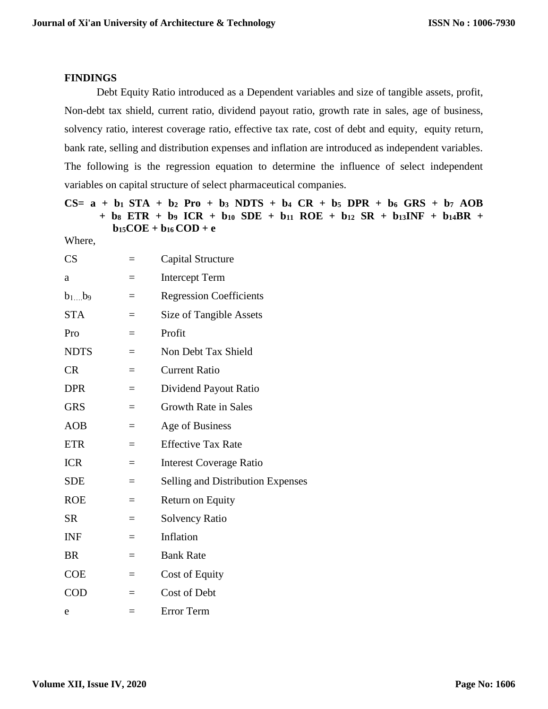# **FINDINGS**

Debt Equity Ratio introduced as a Dependent variables and size of tangible assets, profit, Non-debt tax shield, current ratio, dividend payout ratio, growth rate in sales, age of business, solvency ratio, interest coverage ratio, effective tax rate, cost of debt and equity, equity return, bank rate, selling and distribution expenses and inflation are introduced as independent variables. The following is the regression equation to determine the influence of select independent variables on capital structure of select pharmaceutical companies.

**CS= a + b1 STA + b<sup>2</sup> Pro + b<sup>3</sup> NDTS + b<sup>4</sup> CR + b<sup>5</sup> DPR + b<sup>6</sup> GRS + b<sup>7</sup> AOB + b<sup>8</sup> ETR + b<sup>9</sup> ICR + b<sup>10</sup> SDE + b<sup>11</sup> ROE + b<sup>12</sup> SR + b13INF + b14BR +**   $$ 

Where,

| CS          | $=$ | Capital Structure                 |
|-------------|-----|-----------------------------------|
| a           | $=$ | <b>Intercept Term</b>             |
| $b_1b_9$    |     | <b>Regression Coefficients</b>    |
| <b>STA</b>  | $=$ | Size of Tangible Assets           |
| Pro         | $=$ | Profit                            |
| <b>NDTS</b> | $=$ | Non Debt Tax Shield               |
| CR          | $=$ | <b>Current Ratio</b>              |
| <b>DPR</b>  | $=$ | Dividend Payout Ratio             |
| <b>GRS</b>  | $=$ | Growth Rate in Sales              |
| <b>AOB</b>  | $=$ | Age of Business                   |
| <b>ETR</b>  | $=$ | <b>Effective Tax Rate</b>         |
| <b>ICR</b>  | $=$ | <b>Interest Coverage Ratio</b>    |
| <b>SDE</b>  | $=$ | Selling and Distribution Expenses |
| <b>ROE</b>  | $=$ | Return on Equity                  |
| <b>SR</b>   | $=$ | <b>Solvency Ratio</b>             |
| <b>INF</b>  | $=$ | Inflation                         |
| <b>BR</b>   | $=$ | <b>Bank Rate</b>                  |
| <b>COE</b>  | $=$ | <b>Cost of Equity</b>             |
| <b>COD</b>  | $=$ | Cost of Debt                      |
| e           | $=$ | Error Term                        |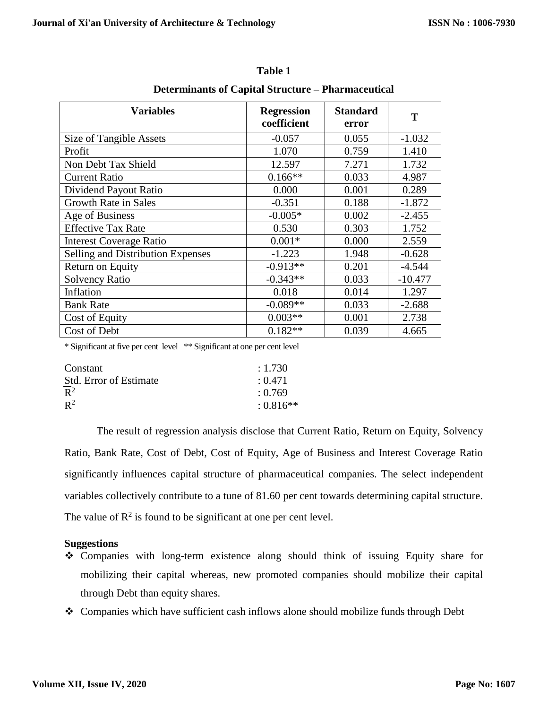| <b>Variables</b>                  | <b>Regression</b><br>coefficient | <b>Standard</b><br>error | Т         |
|-----------------------------------|----------------------------------|--------------------------|-----------|
| Size of Tangible Assets           | $-0.057$                         | 0.055                    | $-1.032$  |
| Profit                            | 1.070                            | 0.759                    | 1.410     |
| Non Debt Tax Shield               | 12.597                           | 7.271                    | 1.732     |
| <b>Current Ratio</b>              | $0.166**$                        | 0.033                    | 4.987     |
| Dividend Payout Ratio             | 0.000                            | 0.001                    | 0.289     |
| <b>Growth Rate in Sales</b>       | $-0.351$                         | 0.188                    | $-1.872$  |
| Age of Business                   | $-0.005*$                        | 0.002                    | $-2.455$  |
| <b>Effective Tax Rate</b>         | 0.530                            | 0.303                    | 1.752     |
| <b>Interest Coverage Ratio</b>    | $0.001*$                         | 0.000                    | 2.559     |
| Selling and Distribution Expenses | $-1.223$                         | 1.948                    | $-0.628$  |
| Return on Equity                  | $-0.913**$                       | 0.201                    | $-4.544$  |
| <b>Solvency Ratio</b>             | $-0.343**$                       | 0.033                    | $-10.477$ |
| Inflation                         | 0.018                            | 0.014                    | 1.297     |
| <b>Bank Rate</b>                  | $-0.089**$                       | 0.033                    | $-2.688$  |
| Cost of Equity                    | $0.003**$                        | 0.001                    | 2.738     |
| Cost of Debt                      | $0.182**$                        | 0.039                    | 4.665     |

**Table 1**

**Determinants of Capital Structure – Pharmaceutical**

\* Significant at five per cent level \*\* Significant at one per cent level

| Constant                      | : 1.730     |
|-------------------------------|-------------|
| <b>Std.</b> Error of Estimate | : 0.471     |
| $\overline{R}^2$              | : 0.769     |
| $\mathbb{R}^2$                | $: 0.816**$ |

The result of regression analysis disclose that Current Ratio, Return on Equity, Solvency Ratio, Bank Rate, Cost of Debt, Cost of Equity, Age of Business and Interest Coverage Ratio significantly influences capital structure of pharmaceutical companies. The select independent variables collectively contribute to a tune of 81.60 per cent towards determining capital structure. The value of  $\mathbb{R}^2$  is found to be significant at one per cent level.

# **Suggestions**

- Companies with long-term existence along should think of issuing Equity share for mobilizing their capital whereas, new promoted companies should mobilize their capital through Debt than equity shares.
- Companies which have sufficient cash inflows alone should mobilize funds through Debt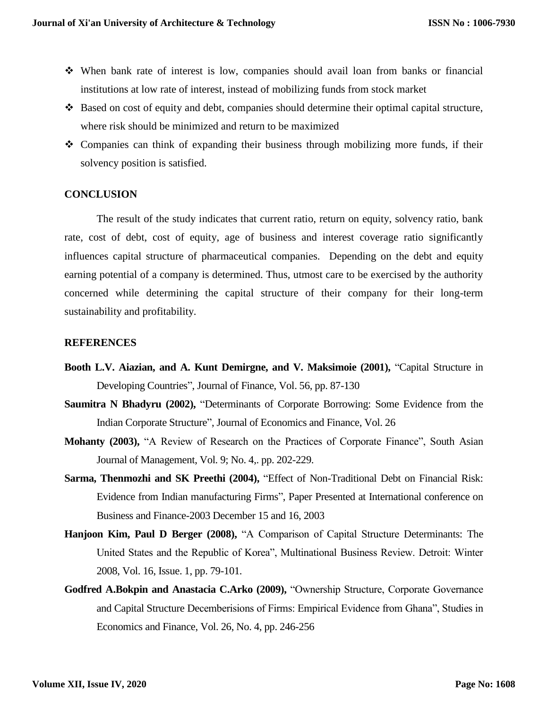- When bank rate of interest is low, companies should avail loan from banks or financial institutions at low rate of interest, instead of mobilizing funds from stock market
- Based on cost of equity and debt, companies should determine their optimal capital structure, where risk should be minimized and return to be maximized
- Companies can think of expanding their business through mobilizing more funds, if their solvency position is satisfied.

## **CONCLUSION**

The result of the study indicates that current ratio, return on equity, solvency ratio, bank rate, cost of debt, cost of equity, age of business and interest coverage ratio significantly influences capital structure of pharmaceutical companies. Depending on the debt and equity earning potential of a company is determined. Thus, utmost care to be exercised by the authority concerned while determining the capital structure of their company for their long-term sustainability and profitability.

## **REFERENCES**

- **Booth L.V. Aiazian, and A. Kunt Demirgne, and V. Maksimoie (2001),** "Capital Structure in Developing Countries", Journal of Finance, Vol. 56, pp. 87-130
- **Saumitra N Bhadyru (2002),** "Determinants of Corporate Borrowing: Some Evidence from the Indian Corporate Structure", Journal of Economics and Finance, Vol. 26
- **Mohanty (2003),** "A Review of Research on the Practices of Corporate Finance", South Asian Journal of Management, Vol. 9; No. 4,. pp. 202-229.
- **Sarma, Thenmozhi and SK Preethi (2004),** "Effect of Non-Traditional Debt on Financial Risk: Evidence from Indian manufacturing Firms", Paper Presented at International conference on Business and Finance-2003 December 15 and 16, 2003
- **Hanjoon Kim, Paul D Berger (2008),** "A Comparison of Capital Structure Determinants: The United States and the Republic of Korea", Multinational Business Review. Detroit: Winter 2008, Vol. 16, Issue. 1, pp. 79-101.
- **Godfred A.Bokpin and Anastacia C.Arko (2009),** "Ownership Structure, Corporate Governance and Capital Structure Decemberisions of Firms: Empirical Evidence from Ghana", Studies in Economics and Finance, Vol. 26, No. 4, pp. 246-256